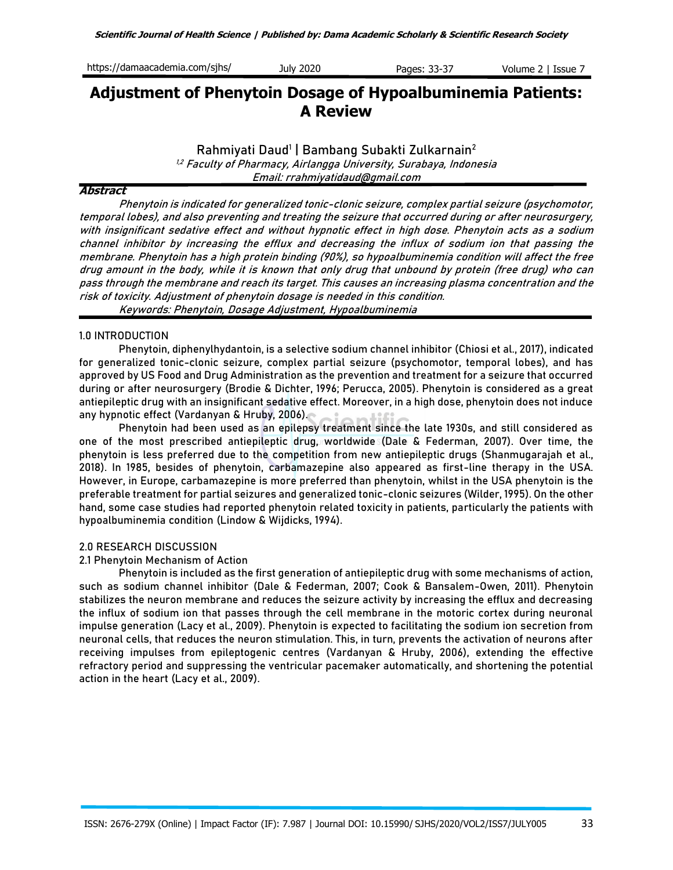| https://damaacademia.com/sjhs/<br>July 2020<br>Pages: 33-37<br>Volume 2   Issue |  |
|---------------------------------------------------------------------------------|--|
|---------------------------------------------------------------------------------|--|

# **Adjustment of Phenytoin Dosage of Hypoalbuminemia Patients: A Review**

**Rahmiyati Daud<sup>1</sup> | Bambang Subakti Zulkarnain<sup>2</sup>**

1,2 Faculty of Pharmacy, Airlangga University, Surabaya, Indonesia Email: rrahmiyatidaud@gmail.com

## **Abstract**

Phenytoin is indicated for generalized tonic-clonic seizure, complex partial seizure (psychomotor, temporal lobes), and also preventing and treating the seizure that occurred during or after neurosurgery, with insignificant sedative effect and without hypnotic effect in high dose. Phenytoin acts as a sodium channel inhibitor by increasing the efflux and decreasing the influx of sodium ion that passing the membrane. Phenytoin has a high protein binding (90%), so hypoalbuminemia condition will affect the free drug amount in the body, while it is known that only drug that unbound by protein (free drug) who can pass through the membrane and reach its target. This causes an increasing plasma concentration and the risk of toxicity. Adjustment of phenytoin dosage is needed in this condition.

**Keywords**: Phenytoin, Dosage Adjustment, Hypoalbuminemia

### **1.0 INTRODUCTION**

Phenytoin, diphenylhydantoin, is a selective sodium channel inhibitor (Chiosi et al., 2017), indicated for generalized tonic-clonic seizure, complex partial seizure (psychomotor, temporal lobes), and has approved by US Food and Drug Administration as the prevention and treatment for a seizure that occurred during or after neurosurgery (Brodie & Dichter, 1996; Perucca, 2005). Phenytoin is considered as a great antiepileptic drug with an insignificant sedative effect. Moreover, in a high dose, phenytoin does not induce any hypnotic effect (Vardanyan & Hruby, 2006)**.**

Phenytoin had been used as an epilepsy treatment since the late 1930s, and still considered as one of the most prescribed antiepileptic drug, worldwide (Dale & Federman, 2007). Over time, the phenytoin is less preferred due to the competition from new antiepileptic drugs (Shanmugarajah et al., 2018). In 1985, besides of phenytoin, carbamazepine also appeared as first-line therapy in the USA. However, in Europe, carbamazepine is more preferred than phenytoin, whilst in the USA phenytoin is the preferable treatment for partial seizures and generalized tonic-clonic seizures (Wilder, 1995). On the other hand, some case studies had reported phenytoin related toxicity in patients, particularly the patients with hypoalbuminemia condition (Lindow & Wijdicks, 1994).

## **2.0 RESEARCH DISCUSSION**

## **2.1 Phenytoin Mechanism of Action**

Phenytoin is included as the first generation of antiepileptic drug with some mechanisms of action, such as sodium channel inhibitor (Dale & Federman, 2007; Cook & Bansalem-Owen, 2011). Phenytoin stabilizes the neuron membrane and reduces the seizure activity by increasing the efflux and decreasing the influx of sodium ion that passes through the cell membrane in the motoric cortex during neuronal impulse generation (Lacy et al., 2009). Phenytoin is expected to facilitating the sodium ion secretion from neuronal cells, that reduces the neuron stimulation. This, in turn, prevents the activation of neurons after receiving impulses from epileptogenic centres (Vardanyan & Hruby, 2006), extending the effective refractory period and suppressing the ventricular pacemaker automatically, and shortening the potential action in the heart (Lacy et al., 2009).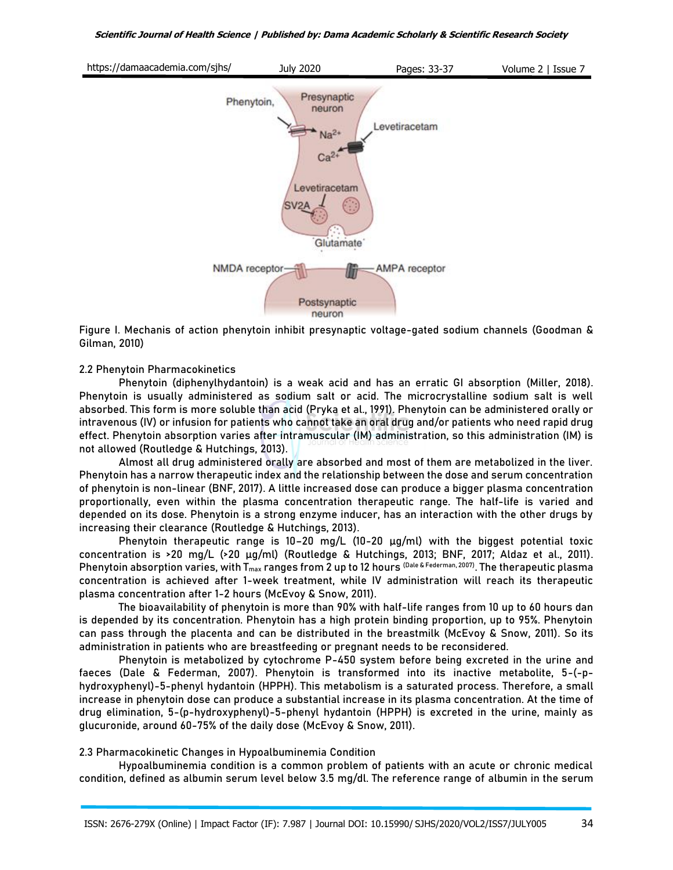

**Figure I. Mechanis of action phenytoin inhibit presynaptic voltage-gated sodium channels** (Goodman & Gilman, 2010)

### **2.2 Phenytoin Pharmacokinetics**

Phenytoin (diphenylhydantoin) is a weak acid and has an erratic GI absorption (Miller, 2018). Phenytoin is usually administered as sodium salt or acid. The microcrystalline sodium salt is well absorbed. This form is more soluble than acid (Pryka et al., 1991). Phenytoin can be administered orally or intravenous (IV) or infusion for patients who cannot take an oral drug and/or patients who need rapid drug effect. Phenytoin absorption varies after intramuscular (IM) administration, so this administration (IM) is not allowed (Routledge & Hutchings, 2013).

Almost all drug administered orally are absorbed and most of them are metabolized in the liver. Phenytoin has a narrow therapeutic index and the relationship between the dose and serum concentration of phenytoin is non-linear (BNF, 2017). A little increased dose can produce a bigger plasma concentration proportionally, even within the plasma concentration therapeutic range. The half-life is varied and depended on its dose. Phenytoin is a strong enzyme inducer, has an interaction with the other drugs by increasing their clearance (Routledge & Hutchings, 2013).

Phenytoin therapeutic range is 10–20 mg/L (10-20 µg/ml) with the biggest potential toxic concentration is >20 mg/L (>20 µg/ml) (Routledge & Hutchings, 2013; BNF, 2017; Aldaz et al., 2011). Phenytoin absorption varies, with T<sub>max</sub> ranges from 2 up to 12 hours <sup>(Dale & Federman, 2007). The therapeutic plasma</sup> concentration is achieved after 1-week treatment, while IV administration will reach its therapeutic plasma concentration after 1-2 hours (McEvoy & Snow, 2011).

The bioavailability of phenytoin is more than 90% with half-life ranges from 10 up to 60 hours dan is depended by its concentration. Phenytoin has a high protein binding proportion, up to 95%. Phenytoin can pass through the placenta and can be distributed in the breastmilk (McEvoy & Snow, 2011). So its administration in patients who are breastfeeding or pregnant needs to be reconsidered.

Phenytoin is metabolized by cytochrome P-450 system before being excreted in the urine and faeces (Dale & Federman, 2007). Phenytoin is transformed into its inactive metabolite, 5-(-phydroxyphenyl)-5-phenyl hydantoin (HPPH). This metabolism is a saturated process. Therefore, a small increase in phenytoin dose can produce a substantial increase in its plasma concentration. At the time of drug elimination, 5-(p-hydroxyphenyl)-5-phenyl hydantoin (HPPH) is excreted in the urine, mainly as glucuronide, around 60-75% of the daily dose (McEvoy & Snow, 2011).

## **2.3 Pharmacokinetic Changes in Hypoalbuminemia Condition**

Hypoalbuminemia condition is a common problem of patients with an acute or chronic medical condition, defined as albumin serum level below 3.5 mg/dl. The reference range of albumin in the serum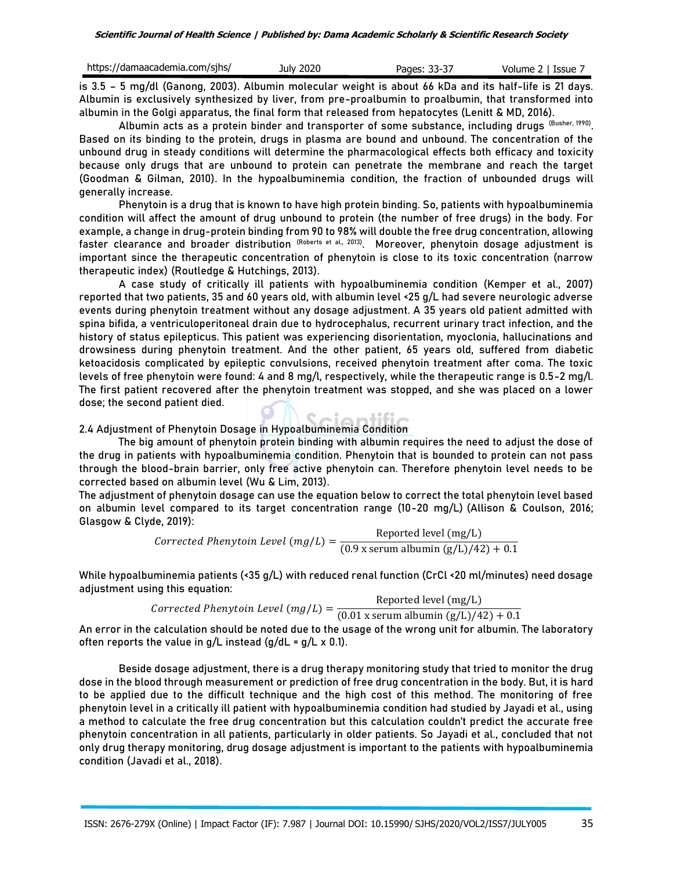| https://damaacademia.com/sjhs/ | July 2020 | Pages: 33-37 | Volume 2   Issue |
|--------------------------------|-----------|--------------|------------------|
|                                |           |              |                  |

is 3.5 – 5 mg/dl (Ganong, 2003). Albumin molecular weight is about 66 kDa and its half-life is 21 days. Albumin is exclusively synthesized by liver, from pre-proalbumin to proalbumin, that transformed into albumin in the Golgi apparatus, the final form that released from hepatocytes (Lenitt & MD, 2016).

Albumin acts as a protein binder and transporter of some substance, including drugs  $^{\rm (Busher,\ 1990)}$ . Based on its binding to the protein, drugs in plasma are bound and unbound. The concentration of the unbound drug in steady conditions will determine the pharmacological effects both efficacy and toxicity because only drugs that are unbound to protein can penetrate the membrane and reach the target (Goodman & Gilman, 2010). In the hypoalbuminemia condition, the fraction of unbounded drugs will generally increase.

Phenytoin is a drug that is known to have high protein binding. So, patients with hypoalbuminemia condition will affect the amount of drug unbound to protein (the number of free drugs) in the body. For example, a change in drug-protein binding from 90 to 98% will double the free drug concentration, allowing faster clearance and broader distribution <sup>(Roberts et al., 2013)</sup>. Moreover, phenytoin dosage adjustment is important since the therapeutic concentration of phenytoin is close to its toxic concentration (narrow therapeutic index) (Routledge & Hutchings, 2013).

A case study of critically ill patients with hypoalbuminemia condition (Kemper et al., 2007) reported that two patients, 35 and 60 years old, with albumin level <25 g/L had severe neurologic adverse events during phenytoin treatment without any dosage adjustment. A 35 years old patient admitted with spina bifida, a ventriculoperitoneal drain due to hydrocephalus, recurrent urinary tract infection, and the history of status epilepticus. This patient was experiencing disorientation, myoclonia, hallucinations and drowsiness during phenytoin treatment. And the other patient, 65 years old, suffered from diabetic ketoacidosis complicated by epileptic convulsions, received phenytoin treatment after coma. The toxic levels of free phenytoin were found: 4 and 8 mg/l, respectively, while the therapeutic range is 0.5-2 mg/l. The first patient recovered after the phenytoin treatment was stopped, and she was placed on a lower dose; the second patient died.

**2.4 Adjustment of Phenytoin Dosage in Hypoalbuminemia Condition**

The big amount of phenytoin protein binding with albumin requires the need to adjust the dose of the drug in patients with hypoalbuminemia condition. Phenytoin that is bounded to protein can not pass through the blood-brain barrier, only free active phenytoin can. Therefore phenytoin level needs to be corrected based on albumin level (Wu & Lim, 2013).

The adjustment of phenytoin dosage can use the equation below to correct the total phenytoin level based on albumin level compared to its target concentration range (10-20 mg/L) (Allison & Coulson, 2016; Glasgow & Clyde, 2019):

 ℎ (/) = Reported level (mg/L)  $(0.9 x$  serum albumin  $(g/L)/42) + 0.1$ 

While hypoalbuminemia patients (<35 g/L) with reduced renal function (CrCl <20 ml/minutes) need dosage adjustment using this equation:

| Corrected Phenytoin Level $(mg/L) =$ | Reported level $(mg/L)$                                                        |
|--------------------------------------|--------------------------------------------------------------------------------|
|                                      | $(0.01 \times \text{serum albumin} (g/L)/42) + 0.1$                            |
|                                      | ealculation chould be noted due to the uses of the wrong unit fer albumin. The |

An error in the calculation should be noted due to the usage of the wrong unit for albumin. The laboratory often reports the value in  $q/L$  instead  $(q/dL = q/L \times 0.1)$ .

Beside dosage adjustment, there is a drug therapy monitoring study that tried to monitor the drug dose in the blood through measurement or prediction of free drug concentration in the body. But, it is hard to be applied due to the difficult technique and the high cost of this method. The monitoring of free phenytoin level in a critically ill patient with hypoalbuminemia condition had studied by Jayadi et al., using a method to calculate the free drug concentration but this calculation couldn't predict the accurate free phenytoin concentration in all patients, particularly in older patients. So Jayadi et al., concluded that not only drug therapy monitoring, drug dosage adjustment is important to the patients with hypoalbuminemia condition (Javadi et al., 2018).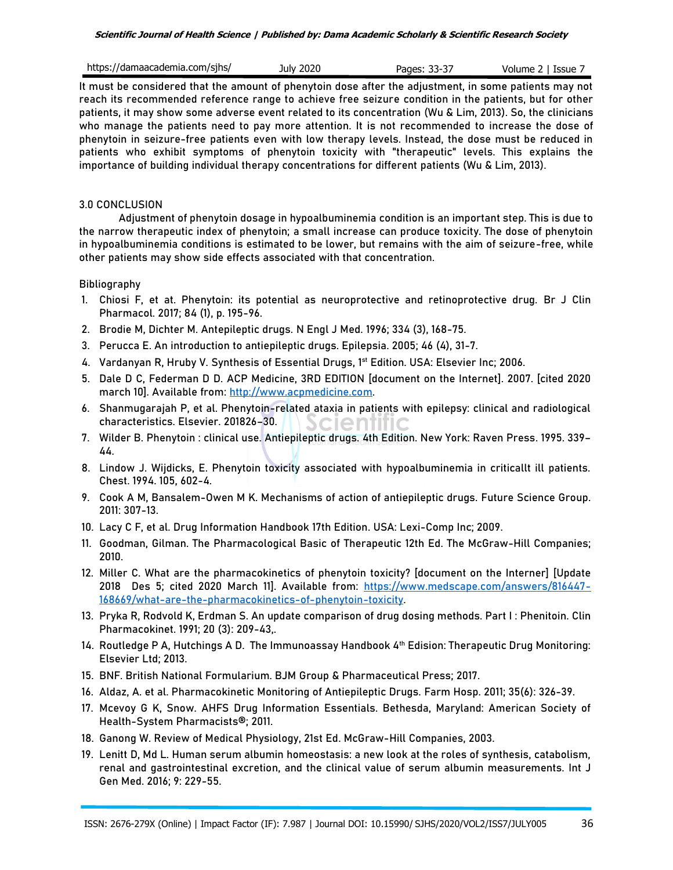| https://damaacademia.com/sjhs/ | July 2020 | Pages: 33-37 | Volume 2   Issue 7 |
|--------------------------------|-----------|--------------|--------------------|
|--------------------------------|-----------|--------------|--------------------|

It must be considered that the amount of phenytoin dose after the adjustment, in some patients may not reach its recommended reference range to achieve free seizure condition in the patients, but for other patients, it may show some adverse event related to its concentration (Wu & Lim, 2013). So, the clinicians who manage the patients need to pay more attention. It is not recommended to increase the dose of phenytoin in seizure-free patients even with low therapy levels. Instead, the dose must be reduced in patients who exhibit symptoms of phenytoin toxicity with "therapeutic" levels. This explains the importance of building individual therapy concentrations for different patients (Wu & Lim, 2013).

## **3.0 CONCLUSION**

Adjustment of phenytoin dosage in hypoalbuminemia condition is an important step. This is due to the narrow therapeutic index of phenytoin; a small increase can produce toxicity. The dose of phenytoin in hypoalbuminemia conditions is estimated to be lower, but remains with the aim of seizure-free, while other patients may show side effects associated with that concentration.

## **Bibliography**

- 1. Chiosi F, et at. Phenytoin: its potential as neuroprotective and retinoprotective drug. Br J Clin Pharmacol. 2017; 84 (1), p. 195-96.
- 2. Brodie M, Dichter M. Antepileptic drugs. N Engl J Med. 1996; 334 (3), 168-75.
- 3. Perucca E. An introduction to antiepileptic drugs. Epilepsia. 2005; 46 (4), 31-7.
- 4. Vardanyan R, Hruby V. Synthesis of Essential Drugs, 1<sup>st</sup> Edition. USA: Elsevier Inc; 2006.
- 5. Dale D C, Federman D D. ACP Medicine, 3RD EDITION [document on the Internet]. 2007. [cited 2020 march 10]. Available from: [http://www.acpmedicine.com.](http://www.acpmedicine.com/)
- 6. Shanmugarajah P, et al. Phenytoin-related ataxia in patients with epilepsy: clinical and radiological Scientific characteristics. Elsevier. 201826–30.
- 7. Wilder B. Phenytoin : clinical use. Antiepileptic drugs. 4th Edition. New York: Raven Press. 1995. 339– 44.
- 8. Lindow J. Wijdicks, E. Phenytoin toxicity associated with hypoalbuminemia in criticallt ill patients. Chest. 1994. 105, 602-4.
- 9. Cook A M, Bansalem-Owen M K. Mechanisms of action of antiepileptic drugs. Future Science Group. 2011: 307-13.
- 10. Lacy C F, et al. Drug Information Handbook 17th Edition. USA: Lexi-Comp Inc; 2009.
- 11. Goodman, Gilman. The Pharmacological Basic of Therapeutic 12th Ed. The McGraw-Hill Companies; 2010.
- 12. Miller C. What are the pharmacokinetics of phenytoin toxicity? [document on the Interner] [Update 2018 Des 5; cited 2020 March 11]. Available from: [https://www.medscape.com/answers/816447-](https://www.medscape.com/answers/816447-168669/what-are-the-pharmacokinetics-of-phenytoin-toxicity) [168669/what-are-the-pharmacokinetics-of-phenytoin-toxicity.](https://www.medscape.com/answers/816447-168669/what-are-the-pharmacokinetics-of-phenytoin-toxicity)
- 13. Pryka R, Rodvold K, Erdman S. An update comparison of drug dosing methods. Part I : Phenitoin. Clin Pharmacokinet. 1991; 20 (3): 209-43,.
- 14. Routledge P A, Hutchings A D. The Immunoassay Handbook 4th Edision: Therapeutic Drug Monitoring: Elsevier Ltd; 2013.
- 15. BNF. British National Formularium. BJM Group & Pharmaceutical Press; 2017.
- 16. Aldaz, A. et al. Pharmacokinetic Monitoring of Antiepileptic Drugs. Farm Hosp. 2011; 35(6): 326-39.
- 17. Mcevoy G K, Snow. AHFS Drug Information Essentials. Bethesda, Maryland: American Society of Health-System Pharmacists®; 2011.
- 18. Ganong W. Review of Medical Physiology, 21st Ed. McGraw-Hill Companies, 2003.
- 19. Lenitt D, Md L. Human serum albumin homeostasis: a new look at the roles of synthesis, catabolism, renal and gastrointestinal excretion, and the clinical value of serum albumin measurements. Int J Gen Med. 2016; 9: 229-55.